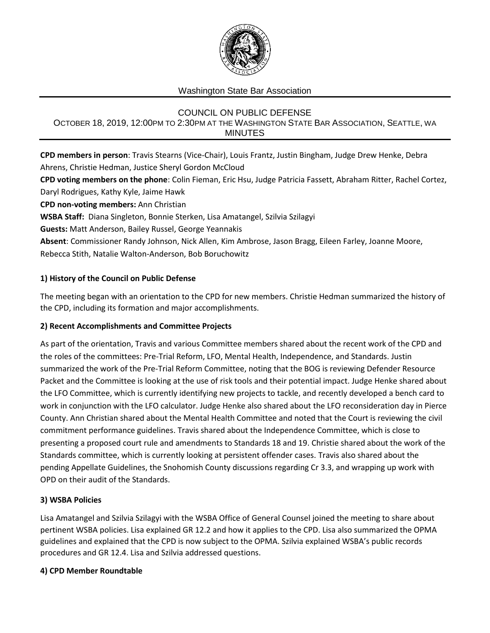

## Washington State Bar Association

# COUNCIL ON PUBLIC DEFENSE OCTOBER 18, 2019, 12:00PM TO 2:30PM AT THE WASHINGTON STATE BAR ASSOCIATION, SEATTLE, WA MINUTES

**CPD members in person**: Travis Stearns (Vice-Chair), Louis Frantz, Justin Bingham, Judge Drew Henke, Debra Ahrens, Christie Hedman, Justice Sheryl Gordon McCloud

**CPD voting members on the phone**: Colin Fieman, Eric Hsu, Judge Patricia Fassett, Abraham Ritter, Rachel Cortez, Daryl Rodrigues, Kathy Kyle, Jaime Hawk

**CPD non-voting members:** Ann Christian

**WSBA Staff:** Diana Singleton, Bonnie Sterken, Lisa Amatangel, Szilvia Szilagyi

**Guests:** Matt Anderson, Bailey Russel, George Yeannakis

**Absent**: Commissioner Randy Johnson, Nick Allen, Kim Ambrose, Jason Bragg, Eileen Farley, Joanne Moore, Rebecca Stith, Natalie Walton-Anderson, Bob Boruchowitz

## **1) History of the Council on Public Defense**

The meeting began with an orientation to the CPD for new members. Christie Hedman summarized the history of the CPD, including its formation and major accomplishments.

### **2) Recent Accomplishments and Committee Projects**

As part of the orientation, Travis and various Committee members shared about the recent work of the CPD and the roles of the committees: Pre-Trial Reform, LFO, Mental Health, Independence, and Standards. Justin summarized the work of the Pre-Trial Reform Committee, noting that the BOG is reviewing Defender Resource Packet and the Committee is looking at the use of risk tools and their potential impact. Judge Henke shared about the LFO Committee, which is currently identifying new projects to tackle, and recently developed a bench card to work in conjunction with the LFO calculator. Judge Henke also shared about the LFO reconsideration day in Pierce County. Ann Christian shared about the Mental Health Committee and noted that the Court is reviewing the civil commitment performance guidelines. Travis shared about the Independence Committee, which is close to presenting a proposed court rule and amendments to Standards 18 and 19. Christie shared about the work of the Standards committee, which is currently looking at persistent offender cases. Travis also shared about the pending Appellate Guidelines, the Snohomish County discussions regarding Cr 3.3, and wrapping up work with OPD on their audit of the Standards.

### **3) WSBA Policies**

Lisa Amatangel and Szilvia Szilagyi with the WSBA Office of General Counsel joined the meeting to share about pertinent WSBA policies. Lisa explained GR 12.2 and how it applies to the CPD. Lisa also summarized the OPMA guidelines and explained that the CPD is now subject to the OPMA. Szilvia explained WSBA's public records procedures and GR 12.4. Lisa and Szilvia addressed questions.

### **4) CPD Member Roundtable**